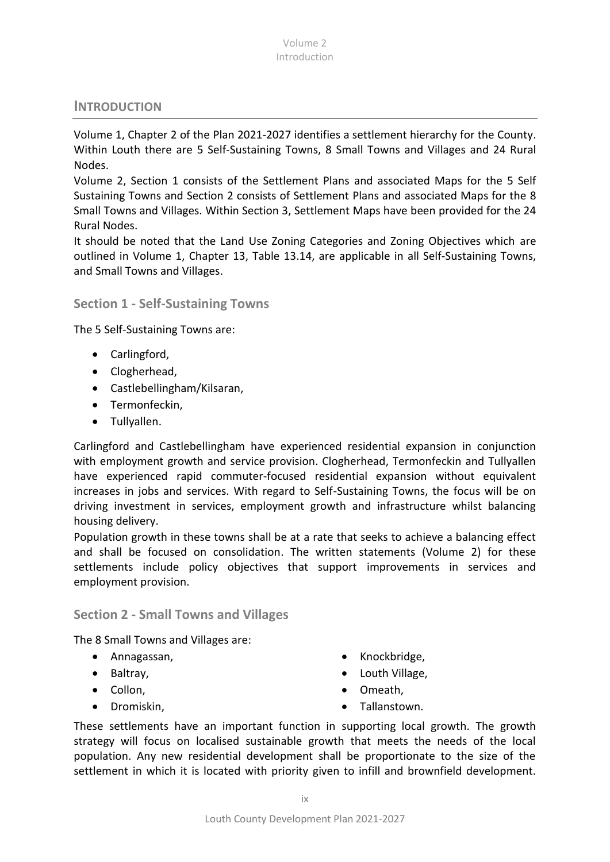### **INTRODUCTION**

Volume 1, Chapter 2 of the Plan 2021-2027 identifies a settlement hierarchy for the County. Within Louth there are 5 Self-Sustaining Towns, 8 Small Towns and Villages and 24 Rural Nodes.

Volume 2, Section 1 consists of the Settlement Plans and associated Maps for the 5 Self Sustaining Towns and Section 2 consists of Settlement Plans and associated Maps for the 8 Small Towns and Villages. Within Section 3, Settlement Maps have been provided for the 24 Rural Nodes.

It should be noted that the Land Use Zoning Categories and Zoning Objectives which are outlined in Volume 1, Chapter 13, Table 13.14, are applicable in all Self-Sustaining Towns, and Small Towns and Villages.

### **Section 1 - Self-Sustaining Towns**

The 5 Self-Sustaining Towns are:

- Carlingford,
- Clogherhead,
- Castlebellingham/Kilsaran,
- Termonfeckin,
- Tullyallen.

Carlingford and Castlebellingham have experienced residential expansion in conjunction with employment growth and service provision. Clogherhead, Termonfeckin and Tullyallen have experienced rapid commuter-focused residential expansion without equivalent increases in jobs and services. With regard to Self-Sustaining Towns, the focus will be on driving investment in services, employment growth and infrastructure whilst balancing housing delivery.

Population growth in these towns shall be at a rate that seeks to achieve a balancing effect and shall be focused on consolidation. The written statements (Volume 2) for these settlements include policy objectives that support improvements in services and employment provision.

**Section 2 - Small Towns and Villages**

The 8 Small Towns and Villages are:

- Annagassan,
- Baltray,
- Collon.
- Dromiskin,
- Knockbridge.
- Louth Village,
- Omeath,
- Tallanstown.

These settlements have an important function in supporting local growth. The growth strategy will focus on localised sustainable growth that meets the needs of the local population. Any new residential development shall be proportionate to the size of the settlement in which it is located with priority given to infill and brownfield development.